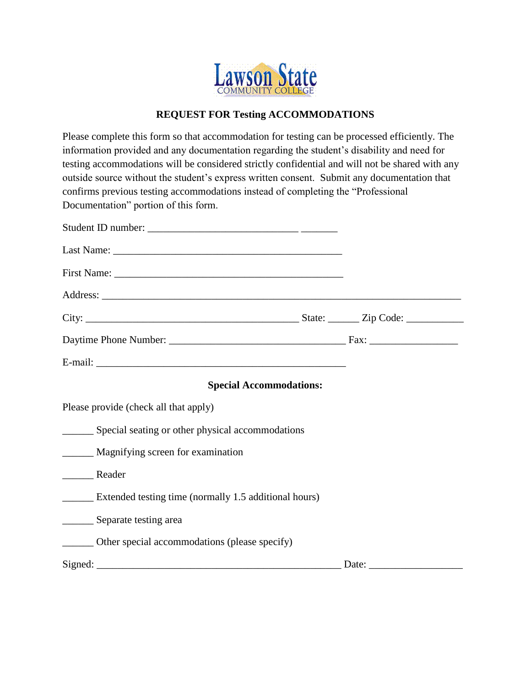

## **REQUEST FOR Testing ACCOMMODATIONS**

Please complete this form so that accommodation for testing can be processed efficiently. The information provided and any documentation regarding the student's disability and need for testing accommodations will be considered strictly confidential and will not be shared with any outside source without the student's express written consent. Submit any documentation that confirms previous testing accommodations instead of completing the "Professional Documentation" portion of this form.

| <b>Special Accommodations:</b>                               |  |
|--------------------------------------------------------------|--|
| Please provide (check all that apply)                        |  |
| ________ Special seating or other physical accommodations    |  |
| ________ Magnifying screen for examination                   |  |
|                                                              |  |
| <b>Extended testing time (normally 1.5 additional hours)</b> |  |
| __________ Separate testing area                             |  |
| _______ Other special accommodations (please specify)        |  |
|                                                              |  |